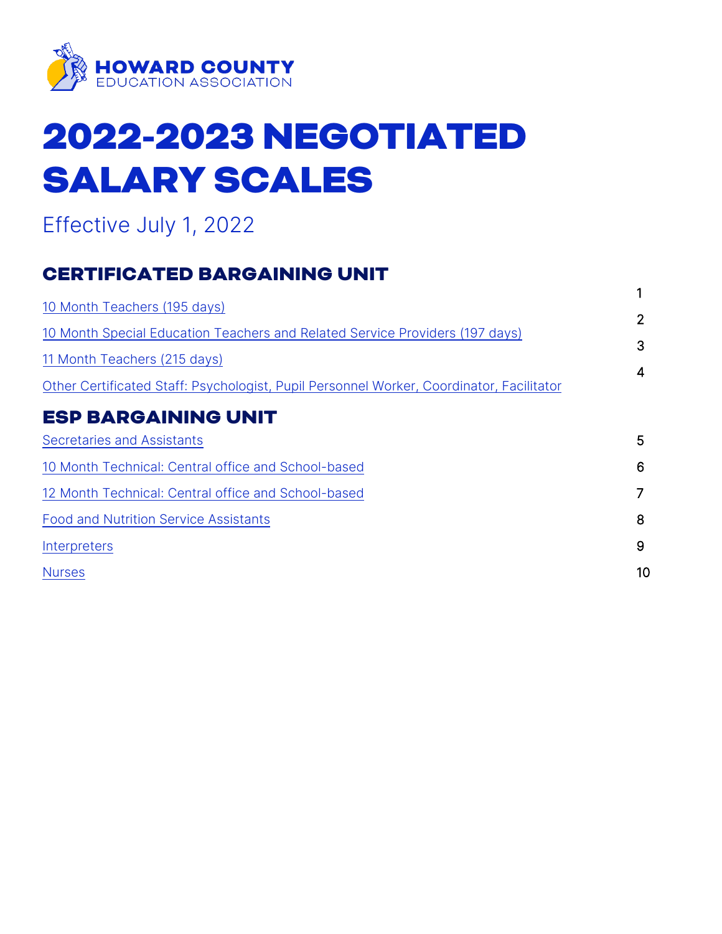

# 2022-2023 NEGOTIATED SALARY SCALES

## Effective July 1, 2022

## CERTIFICATED BARGAINING UNIT

|                                                                                          | 1  |
|------------------------------------------------------------------------------------------|----|
| 10 Month Teachers (195 days)                                                             |    |
| 10 Month Special Education Teachers and Related Service Providers (197 days)             | 2  |
| 11 Month Teachers (215 days)                                                             | 3  |
| Other Certificated Staff: Psychologist, Pupil Personnel Worker, Coordinator, Facilitator | 4  |
| <b>ESP BARGAINING UNIT</b>                                                               |    |
| <b>Secretaries and Assistants</b>                                                        | 5  |
| 10 Month Technical: Central office and School-based                                      | 6  |
| 12 Month Technical: Central office and School-based                                      |    |
| <b>Food and Nutrition Service Assistants</b>                                             | 8  |
| Interpreters                                                                             | 9  |
| <b>Nurses</b>                                                                            | 10 |
|                                                                                          |    |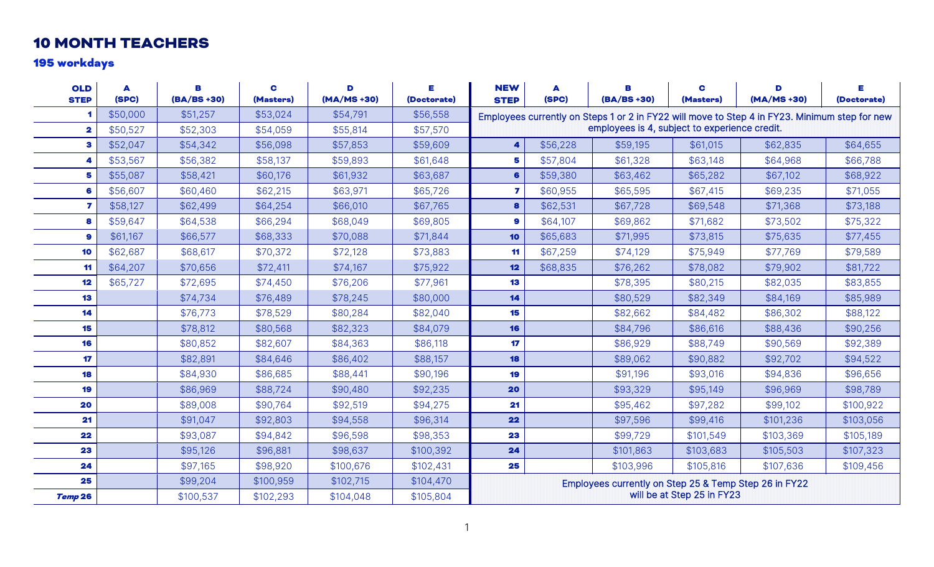#### 10 MONTH TEACHERS

#### 195 workdays

<span id="page-1-1"></span><span id="page-1-0"></span>

| <b>OLD</b><br><b>STEP</b> | A<br>(SPC) | В<br>$(BA/BS + 30)$ | C<br>(Masters) | D<br>$(MA/MS + 30)$ | Е<br>(Doctorate) | <b>NEW</b><br><b>STEP</b>                                                           | A<br>(SPC) | В<br>$(BA/BS + 30)$                           | C<br>(Masters) | D<br>(MA/MS +30)                                                                              | Е<br>(Doctorate) |  |
|---------------------------|------------|---------------------|----------------|---------------------|------------------|-------------------------------------------------------------------------------------|------------|-----------------------------------------------|----------------|-----------------------------------------------------------------------------------------------|------------------|--|
|                           | \$50,000   | \$51,257            | \$53,024       | \$54,791            | \$56,558         |                                                                                     |            |                                               |                | Employees currently on Steps 1 or 2 in FY22 will move to Step 4 in FY23. Minimum step for new |                  |  |
| $\overline{\mathbf{2}}$   | \$50,527   | \$52,303            | \$54,059       | \$55,814            | \$57,570         |                                                                                     |            | employees is 4, subject to experience credit. |                |                                                                                               |                  |  |
| З                         | \$52,047   | \$54,342            | \$56,098       | \$57,853            | \$59,609         | 4                                                                                   | \$56,228   | \$59,195                                      | \$61,015       | \$62,835                                                                                      | \$64,655         |  |
|                           | \$53,567   | \$56,382            | \$58,137       | \$59,893            | \$61,648         | 5                                                                                   | \$57,804   | \$61,328                                      | \$63,148       | \$64,968                                                                                      | \$66,788         |  |
| 5                         | \$55,087   | \$58,421            | \$60,176       | \$61,932            | \$63,687         | 6                                                                                   | \$59,380   | \$63,462                                      | \$65,282       | \$67,102                                                                                      | \$68,922         |  |
| 6                         | \$56,607   | \$60,460            | \$62,215       | \$63,971            | \$65,726         | 7                                                                                   | \$60,955   | \$65,595                                      | \$67,415       | \$69,235                                                                                      | \$71,055         |  |
| 7                         | \$58,127   | \$62,499            | \$64,254       | \$66,010            | \$67,765         | 8                                                                                   | \$62,531   | \$67,728                                      | \$69,548       | \$71,368                                                                                      | \$73,188         |  |
| 8                         | \$59,647   | \$64,538            | \$66,294       | \$68,049            | \$69,805         | 9                                                                                   | \$64,107   | \$69,862                                      | \$71,682       | \$73,502                                                                                      | \$75,322         |  |
| 9                         | \$61,167   | \$66,577            | \$68,333       | \$70,088            | \$71,844         | 10                                                                                  | \$65,683   | \$71,995                                      | \$73,815       | \$75,635                                                                                      | \$77,455         |  |
| 10                        | \$62,687   | \$68,617            | \$70,372       | \$72,128            | \$73,883         | 11                                                                                  | \$67,259   | \$74,129                                      | \$75,949       | \$77,769                                                                                      | \$79,589         |  |
| 11                        | \$64,207   | \$70,656            | \$72,411       | \$74,167            | \$75,922         | 12                                                                                  | \$68,835   | \$76,262                                      | \$78,082       | \$79,902                                                                                      | \$81,722         |  |
| 12                        | \$65,727   | \$72,695            | \$74,450       | \$76,206            | \$77,961         | 13                                                                                  |            | \$78,395                                      | \$80,215       | \$82,035                                                                                      | \$83,855         |  |
| 13                        |            | \$74,734            | \$76,489       | \$78,245            | \$80,000         | 14                                                                                  |            | \$80,529                                      | \$82,349       | \$84,169                                                                                      | \$85,989         |  |
| 14                        |            | \$76,773            | \$78,529       | \$80,284            | \$82,040         | 15                                                                                  |            | \$82,662                                      | \$84,482       | \$86,302                                                                                      | \$88,122         |  |
| 15                        |            | \$78,812            | \$80,568       | \$82,323            | \$84,079         | 16                                                                                  |            | \$84,796                                      | \$86,616       | \$88,436                                                                                      | \$90,256         |  |
| 16                        |            | \$80,852            | \$82,607       | \$84,363            | \$86,118         | 17                                                                                  |            | \$86,929                                      | \$88,749       | \$90,569                                                                                      | \$92,389         |  |
| 17                        |            | \$82,891            | \$84,646       | \$86,402            | \$88,157         | 18                                                                                  |            | \$89,062                                      | \$90,882       | \$92,702                                                                                      | \$94,522         |  |
| 18                        |            | \$84,930            | \$86,685       | \$88,441            | \$90,196         | 19                                                                                  |            | \$91,196                                      | \$93,016       | \$94,836                                                                                      | \$96,656         |  |
| 19                        |            | \$86,969            | \$88,724       | \$90,480            | \$92,235         | 20                                                                                  |            | \$93,329                                      | \$95,149       | \$96,969                                                                                      | \$98,789         |  |
| 20                        |            | \$89,008            | \$90,764       | \$92,519            | \$94,275         | 21                                                                                  |            | \$95,462                                      | \$97,282       | \$99,102                                                                                      | \$100,922        |  |
| 21                        |            | \$91,047            | \$92,803       | \$94,558            | \$96,314         | 22                                                                                  |            | \$97,596                                      | \$99,416       | \$101,236                                                                                     | \$103,056        |  |
| 22                        |            | \$93,087            | \$94,842       | \$96,598            | \$98,353         | 23                                                                                  |            | \$99,729                                      | \$101,549      | \$103,369                                                                                     | \$105,189        |  |
| 23                        |            | \$95,126            | \$96,881       | \$98,637            | \$100,392        | 24                                                                                  |            | \$101,863                                     | \$103,683      | \$105,503                                                                                     | \$107,323        |  |
| 24                        |            | \$97,165            | \$98,920       | \$100,676           | \$102,431        | 25<br>\$103,996<br>\$105,816<br>\$107,636<br>\$109,456                              |            |                                               |                |                                                                                               |                  |  |
| 25                        |            | \$99,204            | \$100,959      | \$102,715           | \$104,470        |                                                                                     |            |                                               |                |                                                                                               |                  |  |
| Temp 26                   |            | \$100,537           | \$102,293      | \$104,048           | \$105,804        | Employees currently on Step 25 & Temp Step 26 in FY22<br>will be at Step 25 in FY23 |            |                                               |                |                                                                                               |                  |  |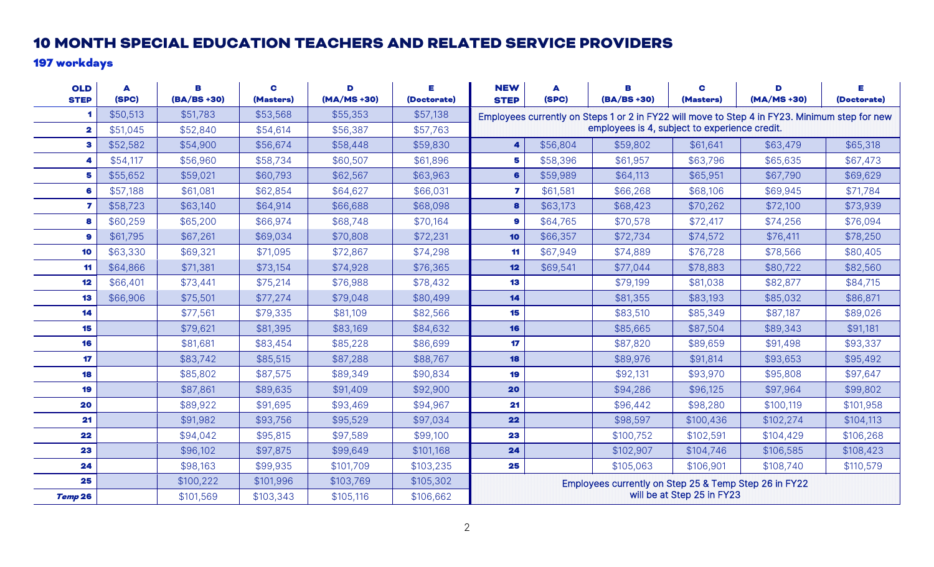#### 10 MONTH SPECIAL EDUCATION TEACHERS AND RELATED SERVICE PROVIDERS

#### 197 workdays

| <b>OLD</b><br><b>STEP</b> | A<br>(SPC) | В<br>$(BA/BS + 30)$ | C<br>(Masters) | D<br>$(MA/MS + 30)$ | Е<br>(Doctorate) | <b>NEW</b><br><b>STEP</b>                                                           | A<br>(SPC) | в<br>$(BA/BS + 30)$                           | C<br>(Masters) | D<br>(MA/MS +30)                                                                              | Е<br>(Doctorate) |  |
|---------------------------|------------|---------------------|----------------|---------------------|------------------|-------------------------------------------------------------------------------------|------------|-----------------------------------------------|----------------|-----------------------------------------------------------------------------------------------|------------------|--|
|                           | \$50,513   | \$51,783            | \$53,568       | \$55,353            | \$57,138         |                                                                                     |            |                                               |                | Employees currently on Steps 1 or 2 in FY22 will move to Step 4 in FY23. Minimum step for new |                  |  |
| $\mathbf{2}$              | \$51,045   | \$52,840            | \$54,614       | \$56,387            | \$57,763         |                                                                                     |            | employees is 4, subject to experience credit. |                |                                                                                               |                  |  |
| 3                         | \$52,582   | \$54,900            | \$56,674       | \$58,448            | \$59,830         |                                                                                     | \$56,804   | \$59,802                                      | \$61,641       | \$63,479                                                                                      | \$65,318         |  |
| 4                         | \$54,117   | \$56,960            | \$58,734       | \$60,507            | \$61,896         | 5                                                                                   | \$58,396   | \$61,957                                      | \$63,796       | \$65,635                                                                                      | \$67,473         |  |
| 5                         | \$55,652   | \$59,021            | \$60,793       | \$62,567            | \$63,963         | 6                                                                                   | \$59,989   | \$64,113                                      | \$65,951       | \$67,790                                                                                      | \$69,629         |  |
| 6                         | \$57,188   | \$61,081            | \$62,854       | \$64,627            | \$66,031         | 7                                                                                   | \$61,581   | \$66,268                                      | \$68,106       | \$69,945                                                                                      | \$71,784         |  |
| $\overline{7}$            | \$58,723   | \$63,140            | \$64,914       | \$66,688            | \$68,098         | 8                                                                                   | \$63,173   | \$68,423                                      | \$70,262       | \$72,100                                                                                      | \$73,939         |  |
| 8                         | \$60,259   | \$65,200            | \$66,974       | \$68,748            | \$70,164         | 9                                                                                   | \$64,765   | \$70,578                                      | \$72,417       | \$74,256                                                                                      | \$76,094         |  |
| 9                         | \$61,795   | \$67,261            | \$69,034       | \$70,808            | \$72,231         | 10                                                                                  | \$66,357   | \$72,734                                      | \$74,572       | \$76,411                                                                                      | \$78,250         |  |
| 10                        | \$63,330   | \$69,321            | \$71,095       | \$72,867            | \$74,298         | 11                                                                                  | \$67,949   | \$74,889                                      | \$76,728       | \$78,566                                                                                      | \$80,405         |  |
| 11                        | \$64,866   | \$71,381            | \$73,154       | \$74,928            | \$76,365         | 12                                                                                  | \$69,541   | \$77,044                                      | \$78,883       | \$80,722                                                                                      | \$82,560         |  |
| 12                        | \$66,401   | \$73,441            | \$75,214       | \$76,988            | \$78,432         | 13                                                                                  |            | \$79,199                                      | \$81,038       | \$82,877                                                                                      | \$84,715         |  |
| 13                        | \$66,906   | \$75,501            | \$77,274       | \$79,048            | \$80,499         | 14                                                                                  |            | \$81,355                                      | \$83,193       | \$85,032                                                                                      | \$86,871         |  |
| 14                        |            | \$77,561            | \$79,335       | \$81,109            | \$82,566         | 15                                                                                  |            | \$83,510                                      | \$85,349       | \$87,187                                                                                      | \$89,026         |  |
| 15                        |            | \$79,621            | \$81,395       | \$83,169            | \$84,632         | 16                                                                                  |            | \$85,665                                      | \$87,504       | \$89,343                                                                                      | \$91,181         |  |
| 16                        |            | \$81,681            | \$83,454       | \$85,228            | \$86,699         | 17                                                                                  |            | \$87,820                                      | \$89,659       | \$91,498                                                                                      | \$93,337         |  |
| 17                        |            | \$83,742            | \$85,515       | \$87,288            | \$88,767         | 18                                                                                  |            | \$89,976                                      | \$91,814       | \$93,653                                                                                      | \$95,492         |  |
| 18                        |            | \$85,802            | \$87,575       | \$89,349            | \$90,834         | 19                                                                                  |            | \$92,131                                      | \$93,970       | \$95,808                                                                                      | \$97,647         |  |
| 19                        |            | \$87,861            | \$89,635       | \$91,409            | \$92,900         | 20                                                                                  |            | \$94,286                                      | \$96,125       | \$97,964                                                                                      | \$99,802         |  |
| 20                        |            | \$89,922            | \$91,695       | \$93,469            | \$94,967         | 21                                                                                  |            | \$96,442                                      | \$98,280       | \$100,119                                                                                     | \$101,958        |  |
| 21                        |            | \$91,982            | \$93,756       | \$95,529            | \$97,034         | 22                                                                                  |            | \$98,597                                      | \$100,436      | \$102,274                                                                                     | \$104,113        |  |
| 22                        |            | \$94,042            | \$95,815       | \$97,589            | \$99,100         | 23                                                                                  |            | \$100,752                                     | \$102,591      | \$104,429                                                                                     | \$106,268        |  |
| 23                        |            | \$96,102            | \$97,875       | \$99,649            | \$101,168        | 24                                                                                  |            | \$102,907                                     | \$104,746      | \$106,585                                                                                     | \$108,423        |  |
| 24                        |            | \$98,163            | \$99,935       | \$101,709           | \$103,235        | 25                                                                                  |            | \$105,063                                     | \$106,901      | \$108,740                                                                                     | \$110,579        |  |
| 25                        |            | \$100,222           | \$101,996      | \$103,769           | \$105,302        |                                                                                     |            |                                               |                |                                                                                               |                  |  |
| Temp 26                   |            | \$101,569           | \$103,343      | \$105,116           | \$106,662        | Employees currently on Step 25 & Temp Step 26 in FY22<br>will be at Step 25 in FY23 |            |                                               |                |                                                                                               |                  |  |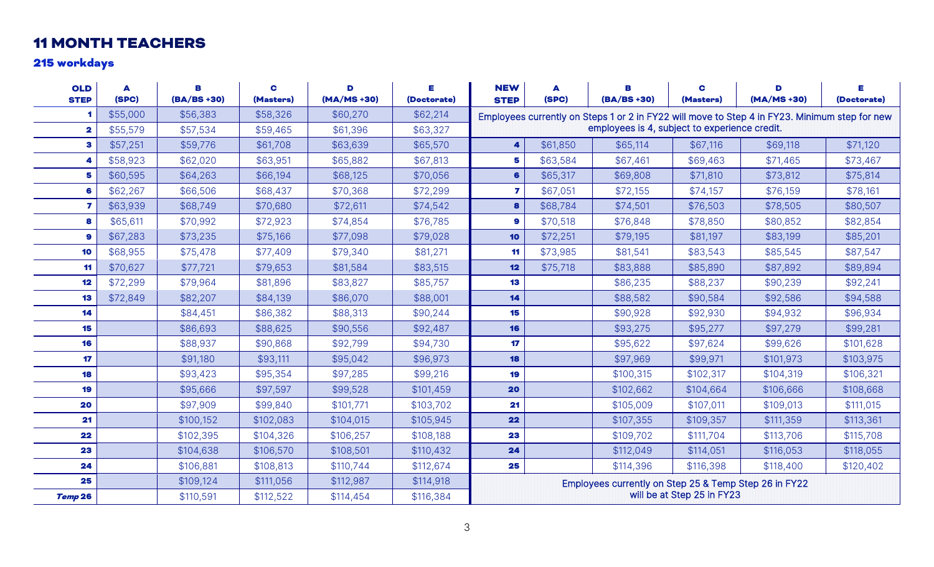## 11 MONTH TEACHERS

#### 215 workdays

<span id="page-3-0"></span>

| <b>OLD</b><br><b>STEP</b> | A<br>(SPC) | В<br>$(BA/BS + 30)$ | C<br>(Masters) | D<br>$(MA/MS + 30)$ | Е<br>(Doctorate) | <b>NEW</b><br><b>STEP</b>                                                           | A<br>(SPC) | В<br>$(BA/BS + 30)$                           | C<br>(Masters) | D<br>$(MA/MS + 30)$                                                                           | Е<br>(Doctorate) |  |
|---------------------------|------------|---------------------|----------------|---------------------|------------------|-------------------------------------------------------------------------------------|------------|-----------------------------------------------|----------------|-----------------------------------------------------------------------------------------------|------------------|--|
|                           | \$55,000   | \$56,383            | \$58,326       | \$60,270            | \$62,214         |                                                                                     |            |                                               |                | Employees currently on Steps 1 or 2 in FY22 will move to Step 4 in FY23. Minimum step for new |                  |  |
| $\overline{\mathbf{2}}$   | \$55,579   | \$57,534            | \$59,465       | \$61,396            | \$63,327         |                                                                                     |            | employees is 4, subject to experience credit. |                |                                                                                               |                  |  |
| 3                         | \$57,251   | \$59,776            | \$61,708       | \$63,639            | \$65,570         | 4                                                                                   | \$61,850   | \$65,114                                      | \$67,116       | \$69,118                                                                                      | \$71,120         |  |
| 4                         | \$58,923   | \$62,020            | \$63,951       | \$65,882            | \$67,813         | 5                                                                                   | \$63,584   | \$67,461                                      | \$69,463       | \$71,465                                                                                      | \$73,467         |  |
| 5                         | \$60,595   | \$64,263            | \$66,194       | \$68,125            | \$70,056         | 6                                                                                   | \$65,317   | \$69,808                                      | \$71,810       | \$73,812                                                                                      | \$75,814         |  |
| 6                         | \$62,267   | \$66,506            | \$68,437       | \$70,368            | \$72,299         | 7                                                                                   | \$67,051   | \$72,155                                      | \$74,157       | \$76,159                                                                                      | \$78,161         |  |
| 7                         | \$63,939   | \$68,749            | \$70,680       | \$72,611            | \$74,542         | 8                                                                                   | \$68,784   | \$74,501                                      | \$76,503       | \$78,505                                                                                      | \$80,507         |  |
| 8                         | \$65,611   | \$70,992            | \$72,923       | \$74,854            | \$76,785         | 9                                                                                   | \$70,518   | \$76,848                                      | \$78,850       | \$80,852                                                                                      | \$82,854         |  |
| 9                         | \$67,283   | \$73,235            | \$75,166       | \$77,098            | \$79,028         | 10                                                                                  | \$72,251   | \$79,195                                      | \$81,197       | \$83,199                                                                                      | \$85,201         |  |
| 10                        | \$68,955   | \$75,478            | \$77,409       | \$79,340            | \$81,271         | 11                                                                                  | \$73,985   | \$81,541                                      | \$83,543       | \$85,545                                                                                      | \$87,547         |  |
| 11                        | \$70,627   | \$77,721            | \$79,653       | \$81,584            | \$83,515         | 12                                                                                  | \$75,718   | \$83,888                                      | \$85,890       | \$87,892                                                                                      | \$89,894         |  |
| 12                        | \$72,299   | \$79,964            | \$81,896       | \$83,827            | \$85,757         | 13                                                                                  |            | \$86,235                                      | \$88,237       | \$90,239                                                                                      | \$92,241         |  |
| 13                        | \$72,849   | \$82,207            | \$84,139       | \$86,070            | \$88,001         | 14                                                                                  |            | \$88,582                                      | \$90,584       | \$92,586                                                                                      | \$94,588         |  |
| 14                        |            | \$84,451            | \$86,382       | \$88,313            | \$90,244         | 15                                                                                  |            | \$90,928                                      | \$92,930       | \$94,932                                                                                      | \$96,934         |  |
| 15                        |            | \$86,693            | \$88,625       | \$90,556            | \$92,487         | 16                                                                                  |            | \$93,275                                      | \$95,277       | \$97,279                                                                                      | \$99,281         |  |
| 16                        |            | \$88,937            | \$90,868       | \$92,799            | \$94,730         | 17                                                                                  |            | \$95,622                                      | \$97,624       | \$99,626                                                                                      | \$101,628        |  |
| 17                        |            | \$91,180            | \$93,111       | \$95,042            | \$96,973         | 18                                                                                  |            | \$97,969                                      | \$99,971       | \$101,973                                                                                     | \$103,975        |  |
| 18                        |            | \$93,423            | \$95,354       | \$97,285            | \$99,216         | 19                                                                                  |            | \$100,315                                     | \$102,317      | \$104,319                                                                                     | \$106,321        |  |
| 19                        |            | \$95,666            | \$97,597       | \$99,528            | \$101,459        | 20                                                                                  |            | \$102,662                                     | \$104,664      | \$106,666                                                                                     | \$108,668        |  |
| 20                        |            | \$97,909            | \$99,840       | \$101,771           | \$103,702        | 21                                                                                  |            | \$105,009                                     | \$107,011      | \$109,013                                                                                     | \$111,015        |  |
| 21                        |            | \$100,152           | \$102,083      | \$104,015           | \$105,945        | 22                                                                                  |            | \$107,355                                     | \$109,357      | \$111,359                                                                                     | \$113,361        |  |
| 22                        |            | \$102,395           | \$104,326      | \$106,257           | \$108,188        | 23                                                                                  |            | \$109,702                                     | \$111,704      | \$113,706                                                                                     | \$115,708        |  |
| 23                        |            | \$104,638           | \$106,570      | \$108,501           | \$110,432        | 24                                                                                  |            | \$112,049                                     | \$114,051      | \$116,053                                                                                     | \$118,055        |  |
| 24                        |            | \$106,881           | \$108,813      | \$110,744           | \$112,674        | 25<br>\$114,396<br>\$116,398<br>\$120,402<br>\$118,400                              |            |                                               |                |                                                                                               |                  |  |
| 25                        |            | \$109,124           | \$111,056      | \$112,987           | \$114,918        |                                                                                     |            |                                               |                |                                                                                               |                  |  |
| Temp 26                   |            | \$110,591           | \$112,522      | \$114,454           | \$116,384        | Employees currently on Step 25 & Temp Step 26 in FY22<br>will be at Step 25 in FY23 |            |                                               |                |                                                                                               |                  |  |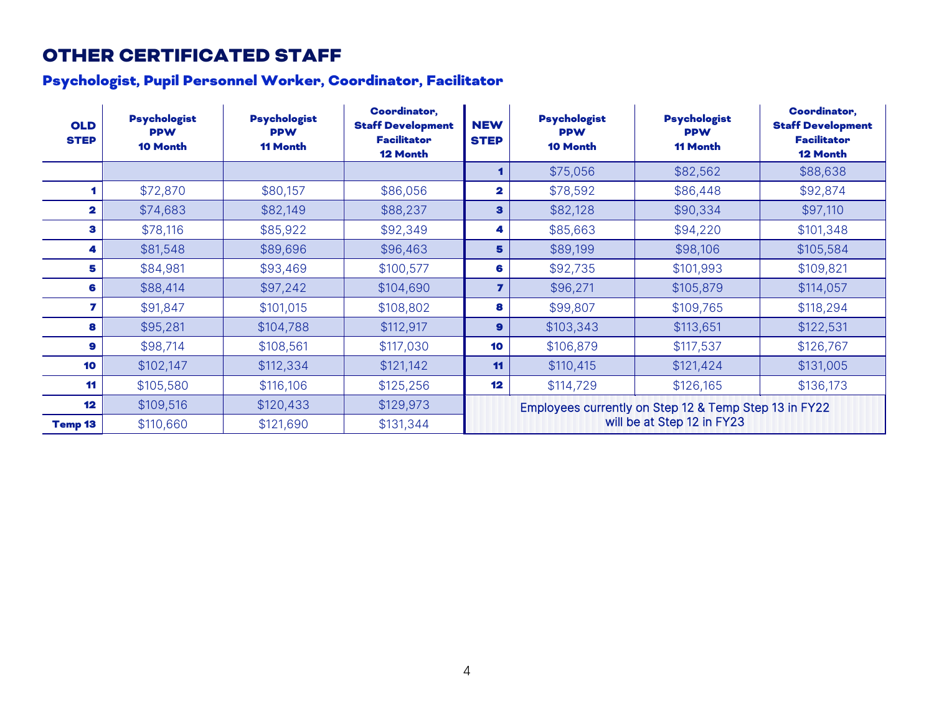## OTHER CERTIFICATED STAFF

## Psychologist, Pupil Personnel Worker, Coordinator, Facilitator

<span id="page-4-0"></span>

| <b>OLD</b><br><b>STEP</b> | <b>Psychologist</b><br><b>PPW</b><br><b>10 Month</b> | <b>Psychologist</b><br><b>PPW</b><br><b>11 Month</b> | <b>Coordinator,</b><br><b>Staff Development</b><br><b>Facilitator</b><br><b>12 Month</b> | <b>NEW</b><br><b>STEP</b>                             | <b>Psychologist</b><br><b>PPW</b><br>10 Month | <b>Psychologist</b><br><b>PPW</b><br><b>11 Month</b> | <b>Coordinator,</b><br><b>Staff Development</b><br><b>Facilitator</b><br><b>12 Month</b> |  |
|---------------------------|------------------------------------------------------|------------------------------------------------------|------------------------------------------------------------------------------------------|-------------------------------------------------------|-----------------------------------------------|------------------------------------------------------|------------------------------------------------------------------------------------------|--|
|                           |                                                      |                                                      |                                                                                          |                                                       | \$75,056                                      | \$82,562                                             | \$88,638                                                                                 |  |
|                           | \$72,870                                             | \$80,157                                             | \$86,056                                                                                 | $\overline{\mathbf{2}}$                               | \$78,592                                      | \$86,448                                             | \$92,874                                                                                 |  |
| 2                         | \$74,683                                             | \$82,149                                             | \$88,237                                                                                 | $\mathbf{3}$                                          | \$82,128                                      | \$90,334                                             | \$97,110                                                                                 |  |
| з                         | \$78,116                                             | \$85,922                                             | \$92,349                                                                                 | 4                                                     | \$85,663                                      | \$94,220                                             | \$101,348                                                                                |  |
| 4                         | \$81,548                                             | \$89,696                                             | \$96,463                                                                                 | 5                                                     | \$89,199                                      | \$98,106                                             | \$105,584                                                                                |  |
| 5                         | \$84,981                                             | \$93,469                                             | \$100,577                                                                                | 6                                                     | \$92,735                                      | \$101,993                                            | \$109,821                                                                                |  |
| 6                         | \$88,414                                             | \$97,242                                             | \$104,690                                                                                | $\overline{ }$                                        | \$96,271                                      | \$105,879                                            | \$114,057                                                                                |  |
| 7                         | \$91,847                                             | \$101,015                                            | \$108,802                                                                                | 8                                                     | \$99,807                                      | \$109,765                                            | \$118,294                                                                                |  |
| 8                         | \$95,281                                             | \$104,788                                            | \$112,917                                                                                | $\mathbf{9}$                                          | \$103,343                                     | \$113,651                                            | \$122,531                                                                                |  |
| 9                         | \$98,714                                             | \$108,561                                            | \$117,030                                                                                | 10                                                    | \$106,879                                     | \$117,537                                            | \$126,767                                                                                |  |
| 10                        | \$102,147                                            | \$112,334                                            | \$121,142                                                                                | 11                                                    | \$110,415                                     | \$121,424                                            | \$131,005                                                                                |  |
| 11                        | \$105,580                                            | \$116,106                                            | \$125,256                                                                                | 12                                                    | \$114,729                                     | \$126,165                                            | \$136,173                                                                                |  |
| 12                        | \$109,516                                            | \$120,433                                            | \$129,973                                                                                | Employees currently on Step 12 & Temp Step 13 in FY22 |                                               |                                                      |                                                                                          |  |
| <b>Temp 13</b>            | \$110,660                                            | \$121,690                                            | \$131,344                                                                                | will be at Step 12 in FY23                            |                                               |                                                      |                                                                                          |  |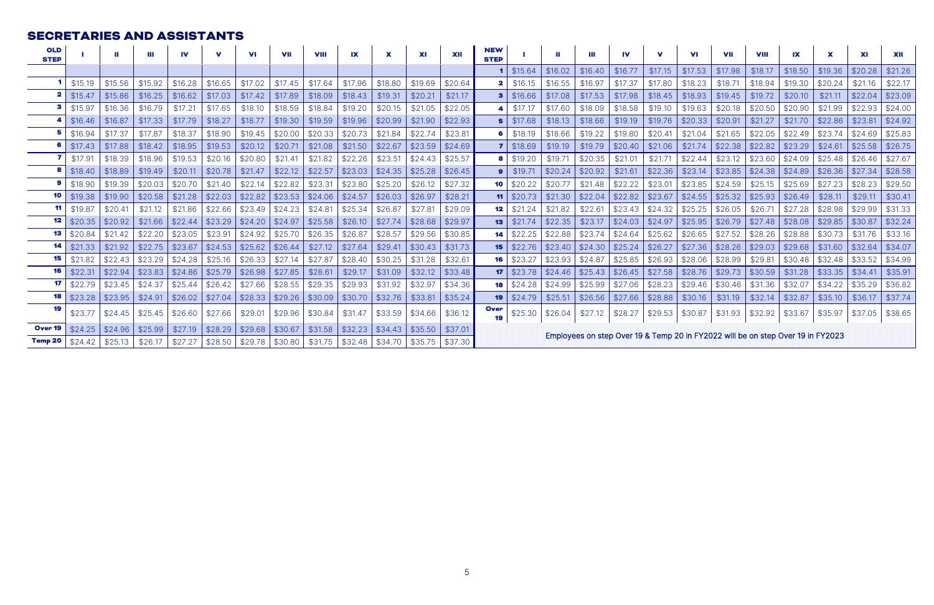#### <span id="page-5-0"></span>SECRETARIES AND ASSISTANTS

| <b>OLD</b><br><b>STEP</b> |         | Ш       | Ш       | IV      | v       | <b>VI</b> | <b>VII</b> | <b>VIII</b> | IX      | X       | <b>XI</b> | XII     | <b>NEW</b><br><b>STEP</b>                                                       |         |         | Ш       | IV      | v       | VI      | <b>VII</b> | <b>VIII</b> | IX      |         | <b>XI</b> | XII     |
|---------------------------|---------|---------|---------|---------|---------|-----------|------------|-------------|---------|---------|-----------|---------|---------------------------------------------------------------------------------|---------|---------|---------|---------|---------|---------|------------|-------------|---------|---------|-----------|---------|
|                           |         |         |         |         |         |           |            |             |         |         |           |         |                                                                                 | \$15.64 | \$16.02 | \$16.40 | \$16.77 | \$17.15 | \$17.53 | \$17.98    | \$18.17     | \$18.50 | \$19.36 | \$20.28   | \$21.26 |
|                           | \$15.19 | \$15.56 | \$15.92 | \$16.28 | \$16.65 | \$17.02   | \$17.45    | \$17.64     | \$17.96 | \$18.80 | \$19.69   | \$20.64 |                                                                                 | \$16.15 | \$16.55 | \$16.97 | \$17.37 | \$17.80 | \$18.23 | \$18.71    | \$18.94     | \$19.30 | \$20.24 | \$21.16   | \$22.17 |
|                           | \$15.47 | \$15.86 | \$16.25 | \$16.62 | \$17.03 | \$17.42   | \$17.89    | \$18.09     | \$18.43 | \$19.31 | \$20.21   | \$21.17 |                                                                                 | \$16.66 | \$17.08 | \$17.53 | \$17.98 | \$18.45 | \$18.93 | \$19.45    | \$19.72     | \$20.10 | \$21.11 | \$22.04   | \$23.09 |
|                           | \$15.97 | \$16.36 | \$16.79 | \$17.21 | \$17.65 | \$18.10   | \$18.59    | \$18.84     | \$19.20 | \$20.15 | \$21.05   | \$22.05 |                                                                                 | \$17.17 | \$17.60 | \$18.09 | \$18.58 | \$19.10 | \$19.63 | \$20.18    | \$20.50     | \$20.90 | \$21.99 | \$22.93   | \$24.00 |
|                           | \$16.46 | \$16.87 | \$17.33 | \$17.79 | \$18.27 | \$18.77   | \$19.30    | \$19.59     | \$19.96 | \$20.99 | \$21.90   | \$22.93 |                                                                                 | \$17.68 | \$18.13 | \$18.66 | \$19.19 | \$19.76 | \$20.33 | \$20.91    | \$21.27     | \$21.70 | \$22.86 | \$23.81   | \$24.92 |
|                           | \$16.94 | \$17.37 | \$17.87 | \$18.37 | \$18.90 | \$19.45   | \$20.00    | \$20.33     | \$20.73 | \$21.84 | \$22.74   | \$23.81 |                                                                                 | \$18.19 | \$18.66 | \$19.22 | \$19.80 | \$20.41 | \$21.04 | \$21.65    | \$22.05     | \$22.49 | \$23.74 | \$24.69   | \$25.83 |
| 6                         | \$17.43 | \$17.88 | \$18.42 | \$18.95 | \$19.53 | \$20.12   | \$20.71    | \$21.08     | \$21.50 | \$22.67 | \$23.59   | \$24.69 |                                                                                 | \$18.69 | \$19.19 | \$19.79 | \$20.40 | \$21.06 | \$21.74 | \$22.38    | \$22.82     | \$23.29 | \$24.61 | \$25.58   | \$26.75 |
|                           | \$17.91 | \$18.39 | \$18.96 | \$19.53 | \$20.16 | \$20.80   | \$21.41    | \$21.82     | \$22.26 | \$23.51 | \$24.43   | \$25.57 |                                                                                 | \$19.20 | \$19.71 | \$20.35 | \$21.01 | \$21.71 | \$22.44 | \$23.12    | \$23.60     | \$24.09 | \$25.48 | \$26.46   | \$27.67 |
|                           | \$18.40 | \$18.89 | \$19.49 | \$20.11 | \$20.78 | \$21.47   | \$22.12    | \$22.57     | \$23.03 | \$24.35 | \$25.28   | \$26.45 |                                                                                 | \$19.71 | \$20.24 | \$20.92 | \$21.61 | \$22.36 | \$23.14 | \$23.85    | \$24.38     | \$24.89 | \$26.36 | \$27.34   | \$28.58 |
|                           | \$18.90 | \$19.39 | \$20.03 | \$20.70 | \$21.40 | \$22.14   | \$22.82    | \$23.31     | \$23.80 | \$25.20 | \$26.12   | \$27.32 | 10                                                                              | \$20.22 | \$20.77 | \$21.48 | \$22.22 | \$23.01 | \$23.85 | \$24.59    | \$25.15     | \$25.69 | \$27.23 | \$28.23   | \$29.50 |
| 10                        | \$19.38 | \$19.90 | \$20.58 | \$21.28 | \$22.03 | \$22.82   | \$23.53    | \$24.06     | \$24.57 | \$26.03 | \$26.97   | \$28.21 |                                                                                 | \$20.73 | \$21.30 | \$22.04 | \$22.82 | \$23.67 | \$24.55 | \$25.32    | \$25.93     | \$26.49 | \$28.11 | \$29.11   | \$30.41 |
| 11                        | \$19.87 | \$20.41 | \$21.12 | \$21.86 | \$22.66 | \$23.49   | \$24.23    | \$24.81     | \$25.34 | \$26.87 | \$27.81   | \$29.09 | 12                                                                              | \$21.24 | \$21.82 | \$22.61 | \$23.43 | \$24.32 | \$25.25 | \$26.05    | \$26.71     | \$27.28 | \$28.98 | \$29.99   | \$31.33 |
| 12                        | \$20.35 | \$20.92 | \$21.66 | \$22.44 | \$23.29 | \$24.20   | \$24.97    | \$25.58     | \$26.10 | \$27.74 | \$28.68   | \$29.97 | 13                                                                              | \$21.74 | \$22.35 | \$23.17 | \$24.03 | \$24.97 | \$25.95 | \$26.79    | \$27.48     | \$28.08 | \$29.85 | \$30.87   | \$32.24 |
| 13                        | \$20.84 | \$21.42 | \$22.20 | \$23.05 | \$23.91 | \$24.92   | \$25.70    | \$26.35     | \$26.87 | \$28.57 | \$29.56   | \$30.85 | 14                                                                              | \$22.25 | \$22.88 | \$23.74 | \$24.64 | \$25.62 | \$26.65 | \$27.52    | \$28.26     | \$28.88 | \$30.73 | \$31.76   | \$33.16 |
| 14                        | \$21.33 | \$21.92 | \$22.75 | \$23.67 | \$24.53 | \$25.62   | \$26.44    | \$27.12     | \$27.64 | \$29.41 | \$30.43   | \$31.73 | 15                                                                              | \$22.76 | \$23.40 | \$24.30 | \$25.24 | \$26.27 | \$27.36 | \$28.26    | \$29.03     | \$29.68 | \$31.60 | \$32.64   | \$34.07 |
| 15                        | \$21.82 | \$22.43 | \$23.29 | \$24.28 | \$25.16 | \$26.33   | \$27.14    | \$27.87     | \$28.40 | \$30.25 | \$31.28   | \$32.61 | 16                                                                              | \$23.27 | \$23.93 | \$24.87 | \$25.85 | \$26.93 | \$28.06 | \$28.99    | \$29.81     | \$30.48 | \$32.48 | \$33.52   | \$34.99 |
| 16                        | \$22.31 | \$22.94 | \$23.83 | \$24.86 | \$25.79 | \$26.98   | \$27.85    | \$28.61     | \$29.17 | \$31.09 | \$32.12   | \$33.48 | 17                                                                              | \$23.78 | \$24.46 | \$25.43 | \$26.45 | \$27.58 | \$28.76 | \$29.73    | \$30.59     | \$31.28 | \$33.35 | \$34.41   | \$35.91 |
| 17                        | \$22.79 | \$23.45 | \$24.37 | \$25.44 | \$26.42 | \$27.66   | \$28.55    | \$29.35     | \$29.93 | \$31.92 | \$32.97   | \$34.36 | 18                                                                              | \$24.28 | \$24.99 | \$25.99 | \$27.06 | \$28.23 | \$29.46 | \$30.46    | \$31.36     | \$32.07 | \$34.22 | \$35.29   | \$36.82 |
| 18                        | \$23.28 | \$23.95 | \$24.91 | \$26.02 | \$27.04 | \$28.33   | \$29.26    | \$30.09     | \$30.70 | \$32.76 | \$33.81   | \$35.24 | 19                                                                              | \$24.79 | \$25.51 | \$26.56 | \$27.66 | \$28.88 | \$30.16 | \$31.19    | \$32.14     | \$32.87 | \$35.10 | \$36.17   | \$37.74 |
| 19                        | \$23.77 | \$24.45 | \$25.45 | \$26.60 | \$27.66 | \$29.01   | \$29.96    | \$30.84     | \$31.47 | \$33.59 | \$34.66   | \$36.12 | Over                                                                            | \$25.30 | \$26.04 | \$27.12 | \$28.27 | \$29.53 | \$30.87 | \$31.93    | \$32.92     | \$33.67 | \$35.97 | \$37.05   | \$38.65 |
| Over <sub>19</sub>        | \$24.25 | \$24.96 | \$25.99 | \$27.19 | \$28.29 | \$29.68   | \$30.67    | \$31.58     | \$32.23 | \$34.43 | \$35.50   | \$37.01 |                                                                                 |         |         |         |         |         |         |            |             |         |         |           |         |
| <b>Temp 20</b>            | \$24.42 | \$25.13 | \$26.17 | \$27.27 | \$28.50 | \$29.78   | \$30.80    | \$31.75     | \$32.48 | \$34.70 | \$35.75   | \$37.30 | Employees on step Over 19 & Temp 20 in FY2022 will be on step Over 19 in FY2023 |         |         |         |         |         |         |            |             |         |         |           |         |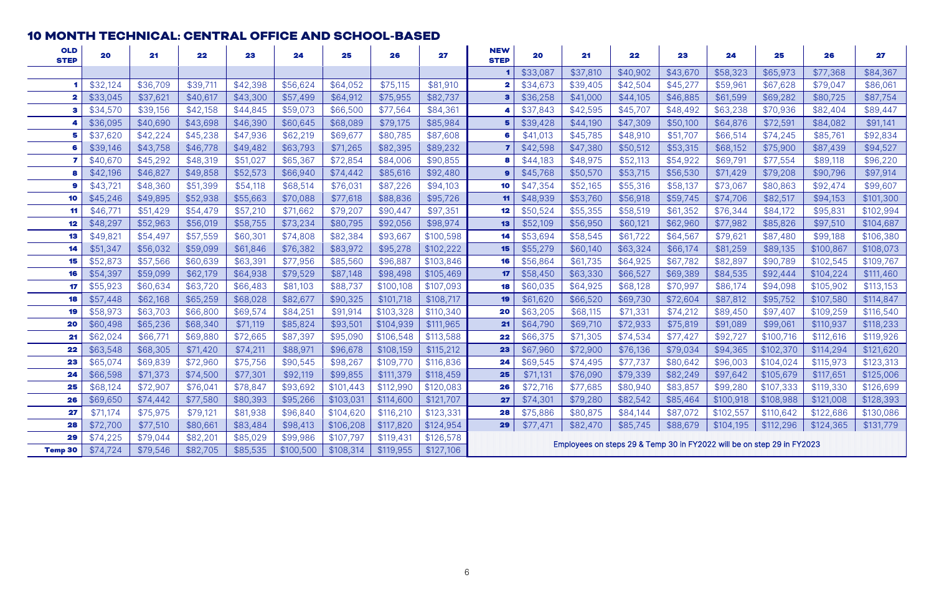#### <span id="page-6-0"></span>10 MONTH TECHNICAL: CENTRAL OFFICE AND SCHOOL-BASED

| <b>OLD</b><br><b>STEP</b> | 20       | 21       | 22       | 23       | 24        | 25        | 26        | 27        | <b>NEW</b><br><b>STEP</b>                                                                              | 20       | 21       | 22       | 23       | 24        | 25        | 26        | 27        |
|---------------------------|----------|----------|----------|----------|-----------|-----------|-----------|-----------|--------------------------------------------------------------------------------------------------------|----------|----------|----------|----------|-----------|-----------|-----------|-----------|
|                           |          |          |          |          |           |           |           |           |                                                                                                        | \$33,087 | \$37,810 | \$40,902 | \$43,670 | \$58,323  | \$65,973  | \$77,368  | \$84,367  |
|                           | \$32,124 | \$36,709 | \$39,711 | \$42,398 | \$56,624  | \$64,052  | \$75,115  | \$81,910  |                                                                                                        | \$34,673 | \$39,405 | \$42,504 | \$45,277 | \$59,961  | \$67,628  | \$79,047  | \$86,061  |
|                           | \$33,045 | \$37,621 | \$40,617 | \$43,300 | \$57,499  | \$64,912  | \$75,955  | \$82,737  |                                                                                                        | \$36,258 | \$41,000 | \$44,105 | \$46,885 | \$61,599  | \$69,282  | \$80,725  | \$87,754  |
|                           | \$34,570 | \$39,156 | \$42,158 | \$44,845 | \$59,073  | \$66,500  | \$77,564  | \$84,361  |                                                                                                        | \$37,843 | \$42,595 | \$45,707 | \$48,492 | \$63,238  | \$70,936  | \$82,404  | \$89,447  |
|                           | \$36,095 | \$40,690 | \$43,698 | \$46,390 | \$60,645  | \$68,089  | \$79,175  | \$85,984  |                                                                                                        | \$39,428 | \$44,190 | \$47,309 | \$50,100 | \$64,876  | \$72,591  | \$84,082  | \$91,141  |
|                           | \$37,620 | \$42,224 | \$45,238 | \$47,936 | \$62,219  | \$69,677  | \$80,785  | \$87,608  |                                                                                                        | \$41,013 | \$45,785 | \$48,910 | \$51,707 | \$66,514  | \$74,245  | \$85,761  | \$92,834  |
|                           | \$39,146 | \$43,758 | \$46,778 | \$49,482 | \$63,793  | \$71,265  | \$82,395  | \$89,232  |                                                                                                        | \$42,598 | \$47,380 | \$50,512 | \$53,315 | \$68,152  | \$75,900  | \$87,439  | \$94,527  |
|                           | \$40,670 | \$45,292 | \$48,319 | \$51,027 | \$65,367  | \$72,854  | \$84,006  | \$90,855  |                                                                                                        | \$44,183 | \$48,975 | \$52,113 | \$54,922 | \$69,791  | \$77,554  | \$89,118  | \$96,220  |
|                           | \$42,196 | \$46,827 | \$49,858 | \$52,573 | \$66,940  | \$74,442  | \$85,616  | \$92,480  |                                                                                                        | \$45,768 | \$50,570 | \$53,715 | \$56,530 | \$71,429  | \$79,208  | \$90,796  | \$97,914  |
|                           | \$43,721 | \$48,360 | \$51,399 | \$54,118 | \$68,514  | \$76,031  | \$87,226  | \$94,103  | 10                                                                                                     | \$47,354 | \$52,165 | \$55,316 | \$58,137 | \$73,067  | \$80,863  | \$92,474  | \$99,607  |
| 10                        | \$45,246 | \$49,895 | \$52,938 | \$55,663 | \$70,088  | \$77,618  | \$88,836  | \$95,726  | 11                                                                                                     | \$48,939 | \$53,760 | \$56,918 | \$59,745 | \$74,706  | \$82,517  | \$94,153  | \$101,300 |
|                           | \$46,771 | \$51,429 | \$54,479 | \$57,210 | \$71,662  | \$79,207  | \$90,447  | \$97,351  | 12                                                                                                     | \$50,524 | \$55,355 | \$58,519 | \$61,352 | \$76,344  | \$84,172  | \$95,831  | \$102,994 |
| 12                        | \$48,297 | \$52,963 | \$56,019 | \$58,755 | \$73,234  | \$80,795  | \$92,056  | \$98,974  | 13                                                                                                     | \$52,109 | \$56,950 | \$60,121 | \$62,960 | \$77,982  | \$85,826  | \$97,510  | \$104,687 |
|                           | \$49,82  | \$54,497 | \$57,559 | \$60,301 | \$74,808  | \$82,384  | \$93,667  | \$100,598 | 14                                                                                                     | \$53,694 | \$58,545 | \$61,722 | \$64,567 | \$79,621  | \$87,480  | \$99,188  | \$106,380 |
| 14                        | \$51,347 | \$56,032 | \$59,099 | \$61,846 | \$76,382  | \$83,972  | \$95,278  | \$102,222 | 15                                                                                                     | \$55,279 | \$60,140 | \$63,324 | \$66,174 | \$81,259  | \$89,135  | \$100,867 | \$108,073 |
|                           | \$52,873 | \$57,566 | \$60,639 | \$63,391 | \$77,956  | \$85,560  | \$96,887  | \$103,846 | 16                                                                                                     | \$56,864 | \$61,735 | \$64,925 | \$67,782 | \$82,897  | \$90,789  | \$102,545 | \$109,767 |
| 16                        | \$54,397 | \$59,099 | \$62,179 | \$64,938 | \$79,529  | \$87,148  | \$98,498  | \$105,469 | 17                                                                                                     | \$58,450 | \$63,330 | \$66,527 | \$69,389 | \$84,535  | \$92,444  | \$104,224 | \$111,460 |
|                           | \$55,923 | \$60,634 | \$63,720 | \$66,483 | \$81,103  | \$88,737  | \$100,108 | \$107,093 | 18                                                                                                     | \$60,035 | \$64,925 | \$68,128 | \$70,997 | \$86,174  | \$94,098  | \$105,902 | \$113,153 |
|                           | \$57,448 | \$62,168 | \$65,259 | \$68,028 | \$82,677  | \$90,325  | \$101,718 | \$108,717 | 19                                                                                                     | \$61,620 | \$66,520 | \$69,730 | \$72,604 | \$87,812  | \$95,752  | \$107,580 | \$114,847 |
|                           | \$58,973 | \$63,703 | \$66,800 | \$69,574 | \$84,251  | \$91,914  | \$103,328 | \$110,340 | 20                                                                                                     | \$63,205 | \$68,115 | \$71,331 | \$74,212 | \$89,450  | \$97,407  | \$109,259 | \$116,540 |
| 20                        | \$60,498 | \$65,236 | \$68,340 | \$71,119 | \$85,824  | \$93,501  | \$104,939 | \$111,965 | 21                                                                                                     | \$64,790 | \$69,710 | \$72,933 | \$75,819 | \$91,089  | \$99,061  | \$110,937 | \$118,233 |
| 21                        | \$62,024 | \$66,77' | \$69,880 | \$72,665 | \$87,397  | \$95,090  | \$106,548 | \$113,588 | 22                                                                                                     | \$66,375 | \$71,305 | \$74,534 | \$77,427 | \$92,727  | \$100,716 | \$112,616 | \$119,926 |
| 22                        | \$63,548 | \$68,305 | \$71,420 | \$74,211 | \$88,971  | \$96,678  | \$108,159 | \$115,212 | 23                                                                                                     | \$67,960 | \$72,900 | \$76,136 | \$79,034 | \$94,365  | \$102,370 | \$114,294 | \$121,620 |
| 23                        | \$65,074 | \$69,839 | \$72,960 | \$75,756 | \$90,545  | \$98,267  | \$109,770 | \$116,836 | 24                                                                                                     | \$69,545 | \$74,495 | \$77,737 | \$80,642 | \$96,003  | \$104,024 | \$115,973 | \$123,313 |
| 24                        | \$66,598 | \$71,373 | \$74,500 | \$77,301 | \$92,119  | \$99,855  | \$111,379 | \$118,459 | 25                                                                                                     | \$71,131 | \$76,090 | \$79,339 | \$82,249 | \$97,642  | \$105,679 | \$117,651 | \$125,006 |
| 25                        | \$68,124 | \$72,907 | \$76,041 | \$78,847 | \$93,692  | \$101,443 | \$112,990 | \$120,083 | 26                                                                                                     | \$72,716 | \$77,685 | \$80,940 | \$83,857 | \$99,280  | \$107,333 | \$119,330 | \$126,699 |
| 26                        | \$69,650 | \$74,442 | \$77,580 | \$80,393 | \$95,266  | \$103,031 | \$114,600 | \$121,707 | 27                                                                                                     | \$74,301 | \$79,280 | \$82,542 | \$85,464 | \$100,918 | \$108,988 | \$121,008 | \$128,393 |
| 27                        | \$71,174 | \$75,975 | \$79,121 | \$81,938 | \$96,840  | \$104,620 | \$116,210 | \$123,331 | 28                                                                                                     | \$75,886 | \$80,875 | \$84,144 | \$87,072 | \$102,557 | \$110,642 | \$122,686 | \$130,086 |
| 28                        | \$72,700 | \$77,510 | \$80,661 | \$83,484 | \$98,413  | \$106,208 | \$117,820 | \$124,954 | \$82,470<br>\$85,745<br>\$88,679<br>\$104,195<br>\$112,296<br>\$124,365<br>\$131,779<br>\$77,471<br>29 |          |          |          |          |           |           |           |           |
| 29                        | \$74,225 | \$79,044 | \$82,201 | \$85,029 | \$99,986  | \$107,797 | \$119,431 | \$126,578 | Employees on steps 29 & Temp 30 in FY2022 will be on step 29 in FY2023                                 |          |          |          |          |           |           |           |           |
| <b>Temp 30</b>            | \$74,724 | \$79,546 | \$82,705 | \$85,535 | \$100,500 | \$108,314 | \$119,955 | \$127,106 |                                                                                                        |          |          |          |          |           |           |           |           |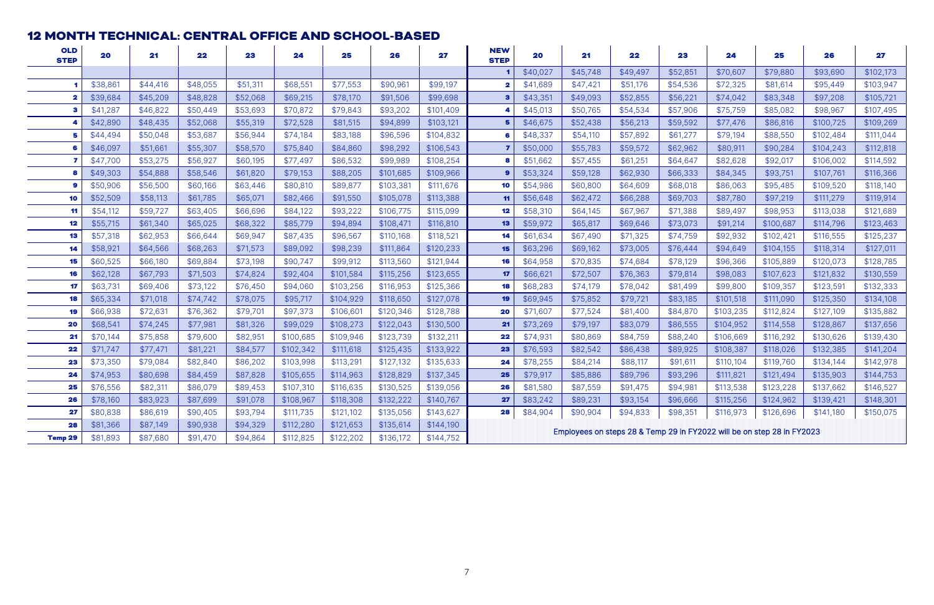#### <span id="page-7-0"></span>MONTH TECHNICAL: CENTRAL OFFICE AND SCHOOL-BASED

| <b>OLD</b><br><b>STEP</b> | 20       | 21       | 22       | 23       | 24        | 25        | 26        | 27        | <b>NEW</b><br><b>STEP</b>                                                                              | 20       | 21       | 22       | 23       | 24                                                                     | 25        | 26        | 27        |
|---------------------------|----------|----------|----------|----------|-----------|-----------|-----------|-----------|--------------------------------------------------------------------------------------------------------|----------|----------|----------|----------|------------------------------------------------------------------------|-----------|-----------|-----------|
|                           |          |          |          |          |           |           |           |           |                                                                                                        | \$40,027 | \$45,748 | \$49,497 | \$52,851 | \$70,607                                                               | \$79,880  | \$93,690  | \$102,173 |
|                           | \$38,861 | \$44,416 | \$48,055 | \$51,311 | \$68,551  | \$77,553  | \$90,961  | \$99,197  |                                                                                                        | \$41,689 | \$47,421 | \$51,176 | \$54,536 | \$72,325                                                               | \$81,614  | \$95,449  | \$103,947 |
|                           | \$39,684 | \$45,209 | \$48,828 | \$52,068 | \$69,215  | \$78,170  | \$91,506  | \$99,698  | з                                                                                                      | \$43,351 | \$49,093 | \$52,855 | \$56,221 | \$74,042                                                               | \$83,348  | \$97,208  | \$105,721 |
|                           | \$41,287 | \$46,822 | \$50,449 | \$53,693 | \$70,872  | \$79,843  | \$93,202  | \$101,409 |                                                                                                        | \$45,013 | \$50,765 | \$54,534 | \$57,906 | \$75,759                                                               | \$85,082  | \$98,967  | \$107,495 |
|                           | \$42,890 | \$48,435 | \$52,068 | \$55,319 | \$72,528  | \$81,515  | \$94,899  | \$103,121 |                                                                                                        | \$46,675 | \$52,438 | \$56,213 | \$59,592 | \$77,476                                                               | \$86,816  | \$100,725 | \$109,269 |
|                           | \$44,494 | \$50,048 | \$53,687 | \$56,944 | \$74,184  | \$83,188  | \$96,596  | \$104,832 |                                                                                                        | \$48,337 | \$54,110 | \$57,892 | \$61,277 | \$79,194                                                               | \$88,550  | \$102,484 | \$111,044 |
|                           | \$46,097 | \$51,661 | \$55,307 | \$58,570 | \$75,840  | \$84,860  | \$98,292  | \$106,543 |                                                                                                        | \$50,000 | \$55,783 | \$59,572 | \$62,962 | \$80,911                                                               | \$90,284  | \$104,243 | \$112,818 |
|                           | \$47,700 | \$53,275 | \$56,927 | \$60,195 | \$77,497  | \$86,532  | \$99,989  | \$108,254 |                                                                                                        | \$51,662 | \$57,455 | \$61,251 | \$64,647 | \$82,628                                                               | \$92,017  | \$106,002 | \$114,592 |
|                           | \$49,303 | \$54,888 | \$58,546 | \$61,820 | \$79,153  | \$88,205  | \$101,685 | \$109,966 |                                                                                                        | \$53,324 | \$59,128 | \$62,930 | \$66,333 | \$84,345                                                               | \$93,751  | \$107,761 | \$116,366 |
|                           | \$50,906 | \$56,500 | \$60,166 | \$63,446 | \$80,810  | \$89,877  | \$103,381 | \$111,676 | 10                                                                                                     | \$54,986 | \$60,800 | \$64,609 | \$68,018 | \$86,063                                                               | \$95,485  | \$109,520 | \$118,140 |
| 10                        | \$52,509 | \$58,113 | \$61,785 | \$65,071 | \$82,466  | \$91,550  | \$105,078 | \$113,388 | 11                                                                                                     | \$56,648 | \$62,472 | \$66,288 | \$69,703 | \$87,780                                                               | \$97,219  | \$111,279 | \$119,914 |
| 11                        | \$54,112 | \$59,727 | \$63,405 | \$66,696 | \$84,122  | \$93,222  | \$106,775 | \$115,099 | 12                                                                                                     | \$58,310 | \$64,145 | \$67,967 | \$71,388 | \$89,497                                                               | \$98,953  | \$113,038 | \$121,689 |
| 12                        | \$55,715 | \$61,340 | \$65,025 | \$68,322 | \$85,779  | \$94,894  | \$108,471 | \$116,810 | 13                                                                                                     | \$59,972 | \$65,817 | \$69,646 | \$73,073 | \$91,214                                                               | \$100,687 | \$114,796 | \$123,463 |
| 13                        | \$57,318 | \$62,953 | \$66,644 | \$69,947 | \$87,435  | \$96,567  | \$110,168 | \$118,521 | 14                                                                                                     | \$61,634 | \$67,490 | \$71,325 | \$74,759 | \$92,932                                                               | \$102,421 | \$116,555 | \$125,237 |
| 14                        | \$58,921 | \$64,566 | \$68,263 | \$71,573 | \$89,092  | \$98,239  | \$111,864 | \$120,233 | 15                                                                                                     | \$63,296 | \$69,162 | \$73,005 | \$76,444 | \$94,649                                                               | \$104,155 | \$118,314 | \$127,011 |
| 15                        | \$60,525 | \$66,180 | \$69,884 | \$73,198 | \$90,747  | \$99,912  | \$113,560 | \$121,944 | 16                                                                                                     | \$64,958 | \$70,835 | \$74,684 | \$78,129 | \$96,366                                                               | \$105,889 | \$120,073 | \$128,785 |
| 16                        | \$62,128 | \$67,793 | \$71,503 | \$74,824 | \$92,404  | \$101,584 | \$115,256 | \$123,655 | 17                                                                                                     | \$66,621 | \$72,507 | \$76,363 | \$79,814 | \$98,083                                                               | \$107,623 | \$121,832 | \$130,559 |
| 17                        | \$63,731 | \$69,406 | \$73,122 | \$76,450 | \$94,060  | \$103,256 | \$116,953 | \$125,366 | 18                                                                                                     | \$68,283 | \$74,179 | \$78,042 | \$81,499 | \$99,800                                                               | \$109,357 | \$123,591 | \$132,333 |
| 18                        | \$65,334 | \$71,018 | \$74,742 | \$78,075 | \$95,717  | \$104,929 | \$118,650 | \$127,078 | 19                                                                                                     | \$69,945 | \$75,852 | \$79,721 | \$83,185 | \$101,518                                                              | \$111,090 | \$125,350 | \$134,108 |
| 19                        | \$66,938 | \$72,631 | \$76,362 | \$79,701 | \$97,373  | \$106,601 | \$120,346 | \$128,788 | 20                                                                                                     | \$71,607 | \$77,524 | \$81,400 | \$84,870 | \$103,235                                                              | \$112,824 | \$127,109 | \$135,882 |
| 20                        | \$68,541 | \$74,245 | \$77,981 | \$81,326 | \$99,029  | \$108,273 | \$122,043 | \$130,500 | 21                                                                                                     | \$73,269 | \$79,197 | \$83,079 | \$86,555 | \$104,952                                                              | \$114,558 | \$128,867 | \$137,656 |
| 21                        | \$70,144 | \$75,858 | \$79,600 | \$82,951 | \$100,685 | \$109,946 | \$123,739 | \$132,211 | 22                                                                                                     | \$74,931 | \$80,869 | \$84,759 | \$88,240 | \$106,669                                                              | \$116,292 | \$130,626 | \$139,430 |
| 22                        | \$71,747 | \$77,471 | \$81,221 | \$84,577 | \$102,342 | \$111,618 | \$125,435 | \$133,922 | 23                                                                                                     | \$76,593 | \$82,542 | \$86,438 | \$89,925 | \$108,387                                                              | \$118,026 | \$132,385 | \$141,204 |
| 23                        | \$73,350 | \$79,084 | \$82,840 | \$86,202 | \$103,998 | \$113,291 | \$127,132 | \$135,633 | 24                                                                                                     | \$78,255 | \$84,214 | \$88,117 | \$91,611 | \$110,104                                                              | \$119,760 | \$134,144 | \$142,978 |
| 24                        | \$74,953 | \$80,698 | \$84,459 | \$87,828 | \$105,655 | \$114,963 | \$128,829 | \$137,345 | 25                                                                                                     | \$79,917 | \$85,886 | \$89,796 | \$93,296 | \$111,821                                                              | \$121,494 | \$135,903 | \$144,753 |
| 25                        | \$76,556 | \$82,311 | \$86,079 | \$89,453 | \$107,310 | \$116,635 | \$130,525 | \$139,056 | 26                                                                                                     | \$81,580 | \$87,559 | \$91,475 | \$94,981 | \$113,538                                                              | \$123,228 | \$137,662 | \$146,527 |
| 26                        | \$78,160 | \$83,923 | \$87,699 | \$91,078 | \$108,967 | \$118,308 | \$132,222 | \$140,767 | 27                                                                                                     | \$83,242 | \$89,231 | \$93,154 | \$96,666 | \$115,256                                                              | \$124,962 | \$139,421 | \$148,301 |
| 27                        | \$80,838 | \$86,619 | \$90,405 | \$93,794 | \$111,735 | \$121,102 | \$135,056 | \$143,627 | \$90,904<br>28<br>\$84,904<br>\$94,833<br>\$98,351<br>\$116,973<br>\$126,696<br>\$150,075<br>\$141,180 |          |          |          |          |                                                                        |           |           |           |
| 28                        | \$81,366 | \$87,149 | \$90,938 | \$94,329 | \$112,280 | \$121,653 | \$135,614 | \$144,190 |                                                                                                        |          |          |          |          | Employees on steps 28 & Temp 29 in FY2022 will be on step 28 in FY2023 |           |           |           |
| <b>Temp 29</b>            | \$81,893 | \$87,680 | \$91,470 | \$94,864 | \$112,825 | \$122,202 | \$136,172 | \$144,752 |                                                                                                        |          |          |          |          |                                                                        |           |           |           |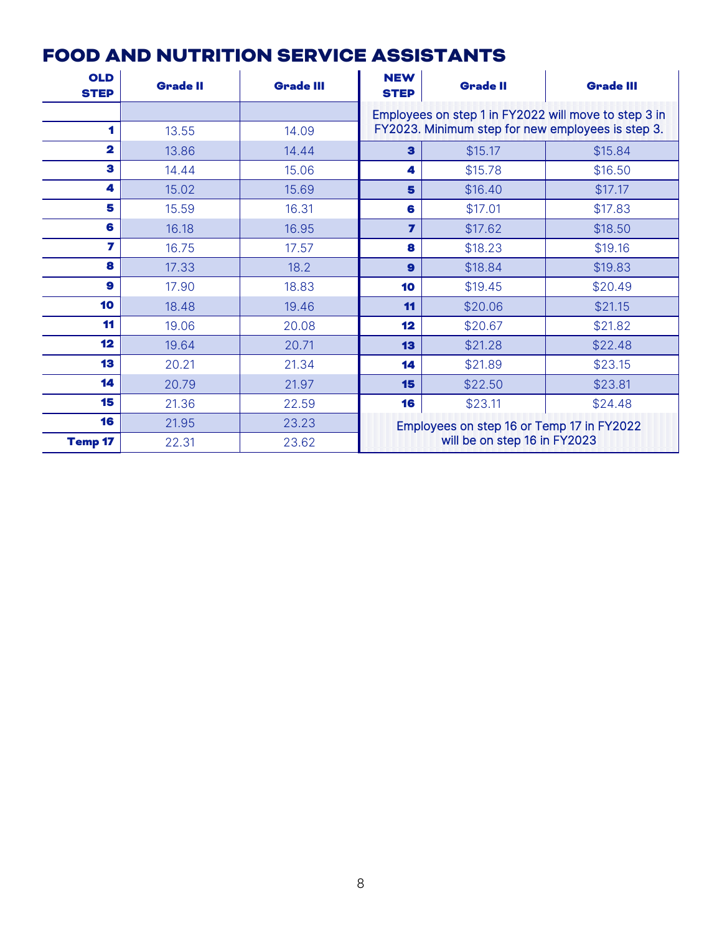## <span id="page-8-0"></span>FOOD AND NUTRITION SERVICE ASSISTANTS

| <b>OLD</b><br><b>STEP</b> | <b>Grade II</b> | <b>Grade III</b> | <b>NEW</b><br><b>STEP</b>                                                 | <b>Grade II</b>                                   | <b>Grade III</b>                                     |  |  |  |
|---------------------------|-----------------|------------------|---------------------------------------------------------------------------|---------------------------------------------------|------------------------------------------------------|--|--|--|
|                           |                 |                  |                                                                           |                                                   | Employees on step 1 in FY2022 will move to step 3 in |  |  |  |
| 1                         | 13.55           | 14.09            |                                                                           | FY2023. Minimum step for new employees is step 3. |                                                      |  |  |  |
| $\overline{\mathbf{2}}$   | 13.86           | 14.44            | 3                                                                         | \$15.17                                           | \$15.84                                              |  |  |  |
| 3                         | 14.44           | 15.06            | 4                                                                         | \$15.78                                           | \$16.50                                              |  |  |  |
| 4                         | 15.02           | 15.69            | 5                                                                         | \$16.40                                           | \$17.17                                              |  |  |  |
| 5                         | 15.59           | 16.31            | 6                                                                         | \$17.01                                           | \$17.83                                              |  |  |  |
| 6                         | 16.18           | 16.95            | 7                                                                         | \$17.62                                           | \$18.50                                              |  |  |  |
| 7                         | 16.75           | 17.57            | 8                                                                         | \$18.23                                           | \$19.16                                              |  |  |  |
| 8                         | 17.33           | 18.2             | $\mathbf{9}$                                                              | \$18.84                                           | \$19.83                                              |  |  |  |
| 9                         | 17.90           | 18.83            | 10                                                                        | \$19.45                                           | \$20.49                                              |  |  |  |
| 10                        | 18.48           | 19.46            | 11                                                                        | \$20.06                                           | \$21.15                                              |  |  |  |
| 11                        | 19.06           | 20.08            | 12                                                                        | \$20.67                                           | \$21.82                                              |  |  |  |
| 12                        | 19.64           | 20.71            | 13                                                                        | \$21.28                                           | \$22.48                                              |  |  |  |
| 13                        | 20.21           | 21.34            | 14                                                                        | \$21.89                                           | \$23.15                                              |  |  |  |
| 14                        | 20.79           | 21.97            | 15                                                                        | \$22.50                                           | \$23.81                                              |  |  |  |
| 15                        | 21.36           | 22.59            | 16                                                                        | \$23.11                                           | \$24.48                                              |  |  |  |
| 16                        | 21.95           | 23.23            | Employees on step 16 or Temp 17 in FY2022<br>will be on step 16 in FY2023 |                                                   |                                                      |  |  |  |
| <b>Temp 17</b>            | 22.31           | 23.62            |                                                                           |                                                   |                                                      |  |  |  |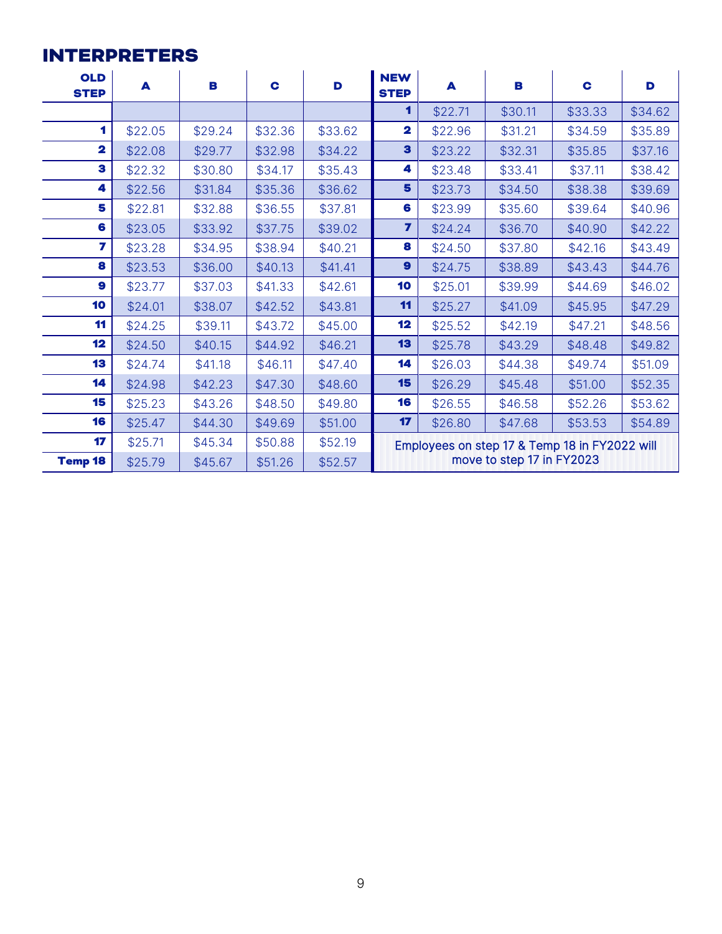## <span id="page-9-0"></span>INTERPRETERS

| <b>OLD</b><br><b>STEP</b> | A       | B       | C       | D       | <b>NEW</b><br><b>STEP</b>                     | A       | В       | C       | D       |  |  |  |
|---------------------------|---------|---------|---------|---------|-----------------------------------------------|---------|---------|---------|---------|--|--|--|
|                           |         |         |         |         | 1                                             | \$22.71 | \$30.11 | \$33.33 | \$34.62 |  |  |  |
| 1                         | \$22.05 | \$29.24 | \$32.36 | \$33.62 | $\overline{\mathbf{2}}$                       | \$22.96 | \$31.21 | \$34.59 | \$35.89 |  |  |  |
| $\overline{\mathbf{2}}$   | \$22.08 | \$29.77 | \$32.98 | \$34.22 | $\mathbf{3}$                                  | \$23.22 | \$32.31 | \$35.85 | \$37.16 |  |  |  |
| 3                         | \$22.32 | \$30.80 | \$34.17 | \$35.43 | 4                                             | \$23.48 | \$33.41 | \$37.11 | \$38.42 |  |  |  |
| 4                         | \$22.56 | \$31.84 | \$35.36 | \$36.62 | 5                                             | \$23.73 | \$34.50 | \$38.38 | \$39.69 |  |  |  |
| 5                         | \$22.81 | \$32.88 | \$36.55 | \$37.81 | 6                                             | \$23.99 | \$35.60 | \$39.64 | \$40.96 |  |  |  |
| 6                         | \$23.05 | \$33.92 | \$37.75 | \$39.02 | $\overline{\mathbf{z}}$                       | \$24.24 | \$36.70 | \$40.90 | \$42.22 |  |  |  |
| 7                         | \$23.28 | \$34.95 | \$38.94 | \$40.21 | 8                                             | \$24.50 | \$37.80 | \$42.16 | \$43.49 |  |  |  |
| 8                         | \$23.53 | \$36.00 | \$40.13 | \$41.41 | 9                                             | \$24.75 | \$38.89 | \$43.43 | \$44.76 |  |  |  |
| 9                         | \$23.77 | \$37.03 | \$41.33 | \$42.61 | 10                                            | \$25.01 | \$39.99 | \$44.69 | \$46.02 |  |  |  |
| 10                        | \$24.01 | \$38.07 | \$42.52 | \$43.81 | 11                                            | \$25.27 | \$41.09 | \$45.95 | \$47.29 |  |  |  |
| 11                        | \$24.25 | \$39.11 | \$43.72 | \$45.00 | 12                                            | \$25.52 | \$42.19 | \$47.21 | \$48.56 |  |  |  |
| 12                        | \$24.50 | \$40.15 | \$44.92 | \$46.21 | 13                                            | \$25.78 | \$43.29 | \$48.48 | \$49.82 |  |  |  |
| 13                        | \$24.74 | \$41.18 | \$46.11 | \$47.40 | 14                                            | \$26.03 | \$44.38 | \$49.74 | \$51.09 |  |  |  |
| 14                        | \$24.98 | \$42.23 | \$47.30 | \$48.60 | 15                                            | \$26.29 | \$45.48 | \$51.00 | \$52.35 |  |  |  |
| 15                        | \$25.23 | \$43.26 | \$48.50 | \$49.80 | 16                                            | \$26.55 | \$46.58 | \$52.26 | \$53.62 |  |  |  |
| 16                        | \$25.47 | \$44.30 | \$49.69 | \$51.00 | 17                                            | \$26.80 | \$47.68 | \$53.53 | \$54.89 |  |  |  |
| 17                        | \$25.71 | \$45.34 | \$50.88 | \$52.19 | Employees on step 17 & Temp 18 in FY2022 will |         |         |         |         |  |  |  |
| <b>Temp 18</b>            | \$25.79 | \$45.67 | \$51.26 | \$52.57 | move to step 17 in FY2023                     |         |         |         |         |  |  |  |